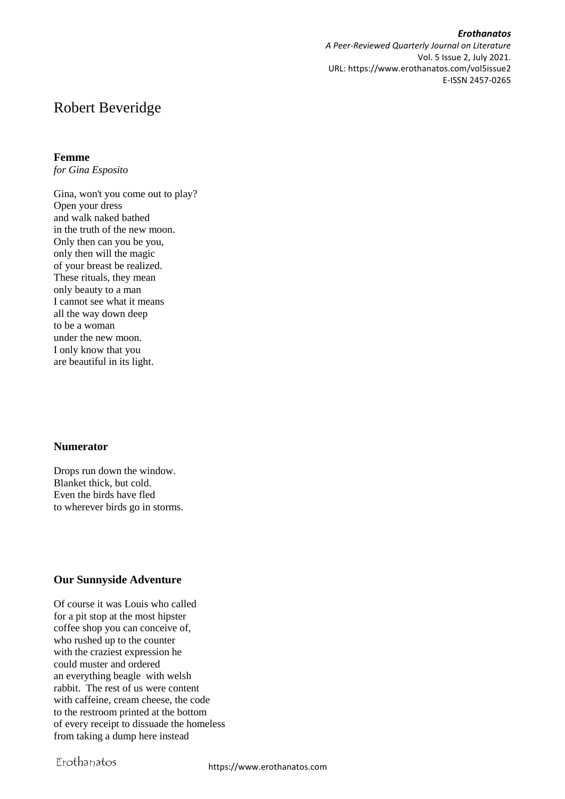*Erothanatos A Peer-Reviewed Quarterly Journal on Literature* Vol. 5 Issue 2, July 2021. URL: https://www.erothanatos.com/vol5issue2 E-ISSN 2457-0265

# Robert Beveridge

#### **Femme**

*for Gina Esposito*

Gina, won't you come out to play? Open your dress and walk naked bathed in the truth of the new moon. Only then can you be you, only then will the magic of your breast be realized. These rituals, they mean only beauty to a man I cannot see what it means all the way down deep to be a woman under the new moon. I only know that you are beautiful in its light.

#### **Numerator**

Drops run down the window. Blanket thick, but cold. Even the birds have fled to wherever birds go in storms.

## **Our Sunnyside Adventure**

Of course it was Louis who called for a pit stop at the most hipster coffee shop you can conceive of, who rushed up to the counter with the craziest expression he could muster and ordered an everything beagle with welsh rabbit. The rest of us were content with caffeine, cream cheese, the code to the restroom printed at the bottom of every receipt to dissuade the homeless from taking a dump here instead

# Erothanatos

https://www.erothanatos.com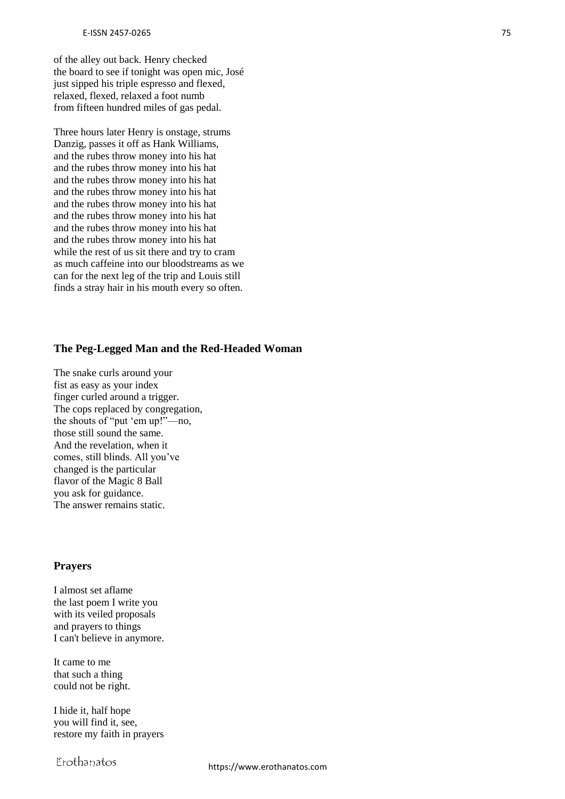of the alley out back. Henry checked the board to see if tonight was open mic, José just sipped his triple espresso and flexed, relaxed, flexed, relaxed a foot numb from fifteen hundred miles of gas pedal.

Three hours later Henry is onstage, strums Danzig, passes it off as Hank Williams, and the rubes throw money into his hat and the rubes throw money into his hat and the rubes throw money into his hat and the rubes throw money into his hat and the rubes throw money into his hat and the rubes throw money into his hat and the rubes throw money into his hat and the rubes throw money into his hat while the rest of us sit there and try to cram as much caffeine into our bloodstreams as we can for the next leg of the trip and Louis still finds a stray hair in his mouth every so often.

## **The Peg-Legged Man and the Red-Headed Woman**

The snake curls around your fist as easy as your index finger curled around a trigger. The cops replaced by congregation, the shouts of "put 'em up!"—no, those still sound the same. And the revelation, when it comes, still blinds. All you've changed is the particular flavor of the Magic 8 Ball you ask for guidance. The answer remains static.

#### **Prayers**

I almost set aflame the last poem I write you with its veiled proposals and prayers to things I can't believe in anymore.

It came to me that such a thing could not be right.

I hide it, half hope you will find it, see, restore my faith in prayers

Erothanatos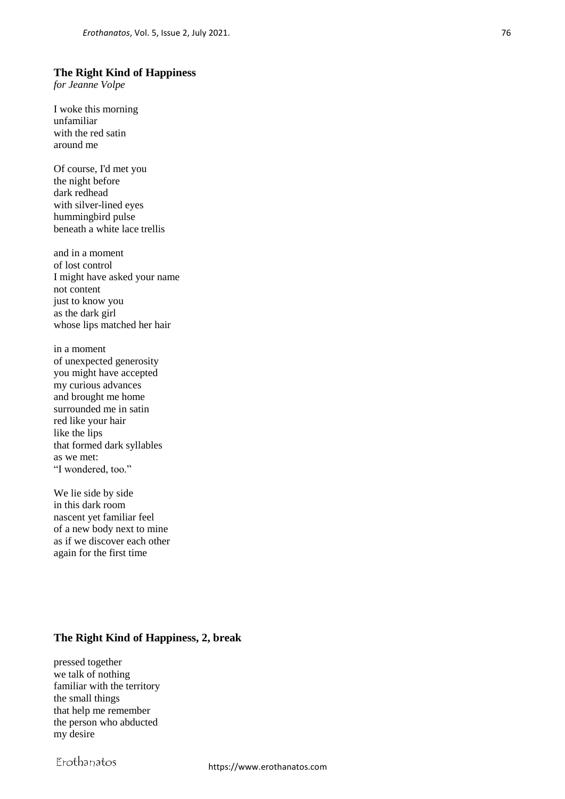#### **The Right Kind of Happiness**

*for Jeanne Volpe*

I woke this morning unfamiliar with the red satin around me

Of course, I'd met you the night before dark redhead with silver-lined eyes hummingbird pulse beneath a white lace trellis

and in a moment of lost control I might have asked your name not content just to know you as the dark girl whose lips matched her hair

in a moment of unexpected generosity you might have accepted my curious advances and brought me home surrounded me in satin red like your hair like the lips that formed dark syllables as we met: "I wondered, too."

We lie side by side in this dark room nascent yet familiar feel of a new body next to mine as if we discover each other again for the first time

## **The Right Kind of Happiness, 2, break**

pressed together we talk of nothing familiar with the territory the small things that help me remember the person who abducted my desire

Erothanatos